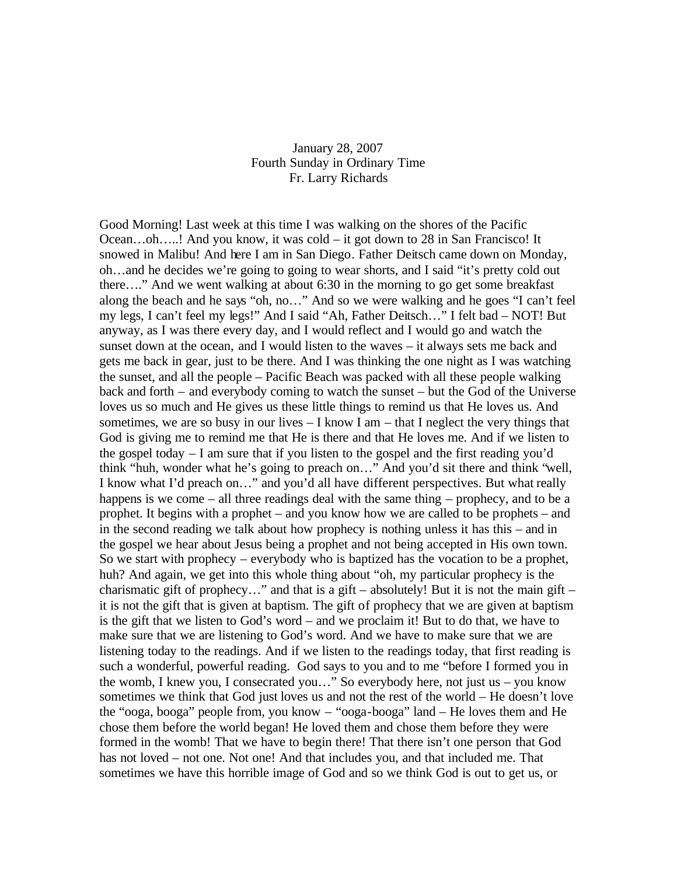## January 28, 2007 Fourth Sunday in Ordinary Time Fr. Larry Richards

Good Morning! Last week at this time I was walking on the shores of the Pacific Ocean…oh…..! And you know, it was cold – it got down to 28 in San Francisco! It snowed in Malibu! And here I am in San Diego. Father Deitsch came down on Monday, oh…and he decides we're going to going to wear shorts, and I said "it's pretty cold out there…." And we went walking at about 6:30 in the morning to go get some breakfast along the beach and he says "oh, no…" And so we were walking and he goes "I can't feel my legs, I can't feel my legs!" And I said "Ah, Father Deitsch…" I felt bad – NOT! But anyway, as I was there every day, and I would reflect and I would go and watch the sunset down at the ocean, and I would listen to the waves – it always sets me back and gets me back in gear, just to be there. And I was thinking the one night as I was watching the sunset, and all the people – Pacific Beach was packed with all these people walking back and forth – and everybody coming to watch the sunset – but the God of the Universe loves us so much and He gives us these little things to remind us that He loves us. And sometimes, we are so busy in our lives  $-1$  know I am – that I neglect the very things that God is giving me to remind me that He is there and that He loves me. And if we listen to the gospel today – I am sure that if you listen to the gospel and the first reading you'd think "huh, wonder what he's going to preach on…" And you'd sit there and think "well, I know what I'd preach on…" and you'd all have different perspectives. But what really happens is we come – all three readings deal with the same thing – prophecy, and to be a prophet. It begins with a prophet – and you know how we are called to be prophets – and in the second reading we talk about how prophecy is nothing unless it has this – and in the gospel we hear about Jesus being a prophet and not being accepted in His own town. So we start with prophecy – everybody who is baptized has the vocation to be a prophet, huh? And again, we get into this whole thing about "oh, my particular prophecy is the charismatic gift of prophecy..." and that is a gift – absolutely! But it is not the main gift – it is not the gift that is given at baptism. The gift of prophecy that we are given at baptism is the gift that we listen to God's word – and we proclaim it! But to do that, we have to make sure that we are listening to God's word. And we have to make sure that we are listening today to the readings. And if we listen to the readings today, that first reading is such a wonderful, powerful reading. God says to you and to me "before I formed you in the womb, I knew you, I consecrated you…" So everybody here, not just us – you know sometimes we think that God just loves us and not the rest of the world – He doesn't love the "ooga, booga" people from, you know – "ooga-booga" land – He loves them and He chose them before the world began! He loved them and chose them before they were formed in the womb! That we have to begin there! That there isn't one person that God has not loved – not one. Not one! And that includes you, and that included me. That sometimes we have this horrible image of God and so we think God is out to get us, or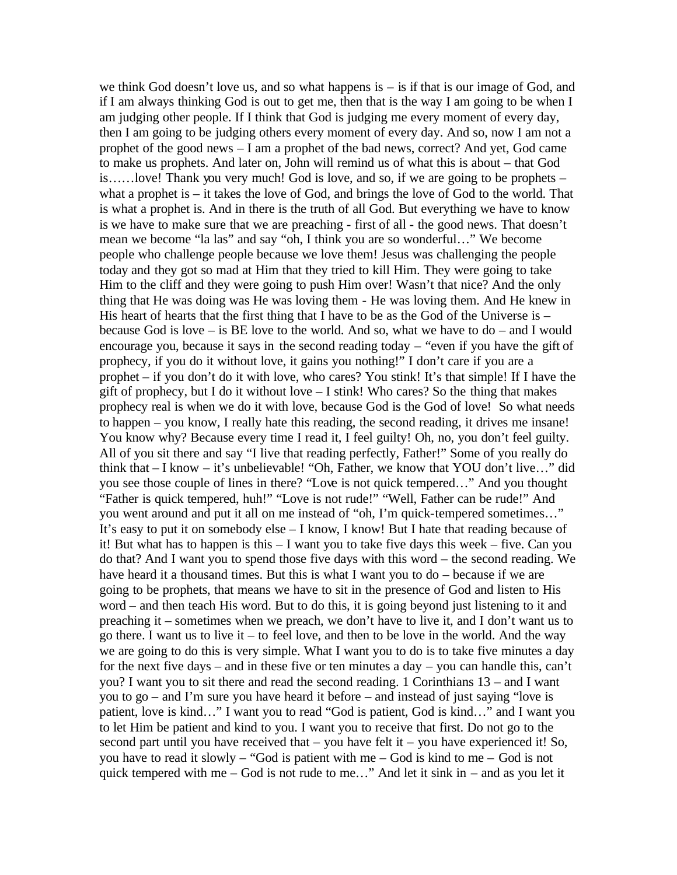we think God doesn't love us, and so what happens is  $-$  is if that is our image of God, and if I am always thinking God is out to get me, then that is the way I am going to be when I am judging other people. If I think that God is judging me every moment of every day, then I am going to be judging others every moment of every day. And so, now I am not a prophet of the good news – I am a prophet of the bad news, correct? And yet, God came to make us prophets. And later on, John will remind us of what this is about – that God is……love! Thank you very much! God is love, and so, if we are going to be prophets – what a prophet is – it takes the love of God, and brings the love of God to the world. That is what a prophet is. And in there is the truth of all God. But everything we have to know is we have to make sure that we are preaching - first of all - the good news. That doesn't mean we become "la las" and say "oh, I think you are so wonderful…" We become people who challenge people because we love them! Jesus was challenging the people today and they got so mad at Him that they tried to kill Him. They were going to take Him to the cliff and they were going to push Him over! Wasn't that nice? And the only thing that He was doing was He was loving them - He was loving them. And He knew in His heart of hearts that the first thing that I have to be as the God of the Universe is  $$ because God is love – is BE love to the world. And so, what we have to  $d_0$  – and I would encourage you, because it says in the second reading today – "even if you have the gift of prophecy, if you do it without love, it gains you nothing!" I don't care if you are a prophet – if you don't do it with love, who cares? You stink! It's that simple! If I have the gift of prophecy, but I do it without love  $-1$  stink! Who cares? So the thing that makes prophecy real is when we do it with love, because God is the God of love! So what needs to happen – you know, I really hate this reading, the second reading, it drives me insane! You know why? Because every time I read it, I feel guilty! Oh, no, you don't feel guilty. All of you sit there and say "I live that reading perfectly, Father!" Some of you really do think that – I know – it's unbelievable! "Oh, Father, we know that YOU don't live…" did you see those couple of lines in there? "Love is not quick tempered…" And you thought "Father is quick tempered, huh!" "Love is not rude!" "Well, Father can be rude!" And you went around and put it all on me instead of "oh, I'm quick-tempered sometimes…" It's easy to put it on somebody else – I know, I know! But I hate that reading because of it! But what has to happen is this – I want you to take five days this week – five. Can you do that? And I want you to spend those five days with this word – the second reading. We have heard it a thousand times. But this is what I want you to do – because if we are going to be prophets, that means we have to sit in the presence of God and listen to His word – and then teach His word. But to do this, it is going beyond just listening to it and preaching it – sometimes when we preach, we don't have to live it, and I don't want us to go there. I want us to live it – to feel love, and then to be love in the world. And the way we are going to do this is very simple. What I want you to do is to take five minutes a day for the next five days – and in these five or ten minutes a day – you can handle this, can't you? I want you to sit there and read the second reading. 1 Corinthians 13 – and I want you to go – and I'm sure you have heard it before – and instead of just saying "love is patient, love is kind…" I want you to read "God is patient, God is kind…" and I want you to let Him be patient and kind to you. I want you to receive that first. Do not go to the second part until you have received that  $-$  you have felt it  $-$  you have experienced it! So, you have to read it slowly – "God is patient with me – God is kind to me – God is not quick tempered with me – God is not rude to me..." And let it sink in – and as you let it